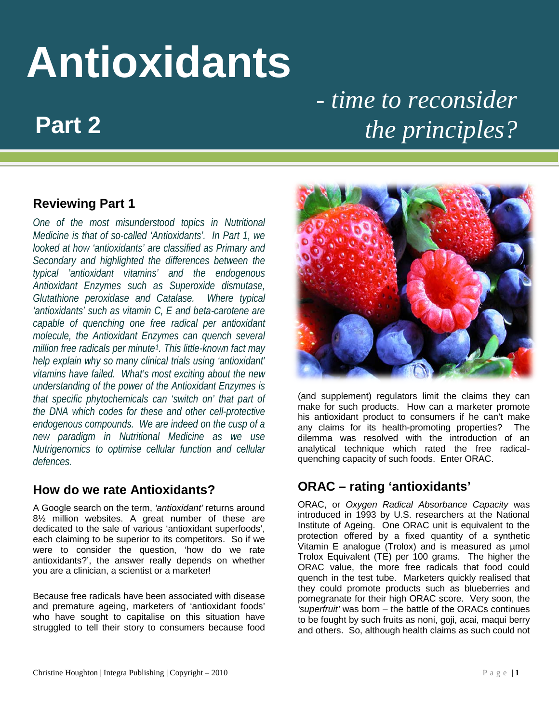# **Antioxidants** *- time to reconsider*

## *fhe principles?*

#### **Reviewing Part 1**

*One of the most misunderstood topics in Nutritional Medicine is that of so-called 'Antioxidants'. In Part 1, we looked at how 'antioxidants' are classified as Primary and Secondary and highlighted the differences between the typical 'antioxidant vitamins' and the endogenous Antioxidant Enzymes such as Superoxide dismutase, Glutathione peroxidase and Catalase. Where typical 'antioxidants' such as vitamin C, E and beta-carotene are capable of quenching one free radical per antioxidant molecule, the Antioxidant Enzymes can quench several million free radicals per minute[1](#page-7-0) . This little-known fact may help explain why so many clinical trials using 'antioxidant' vitamins have failed. What's most exciting about the new understanding of the power of the Antioxidant Enzymes is that specific phytochemicals can 'switch on' that part of the DNA which codes for these and other cell-protective endogenous compounds. We are indeed on the cusp of a new paradigm in Nutritional Medicine as we use Nutrigenomics to optimise cellular function and cellular defences.*

#### **How do we rate Antioxidants?**

A Google search on the term, *'antioxidant'* returns around 8½ million websites. A great number of these are dedicated to the sale of various 'antioxidant superfoods', each claiming to be superior to its competitors. So if we were to consider the question, 'how do we rate antioxidants?', the answer really depends on whether you are a clinician, a scientist or a marketer!

Because free radicals have been associated with disease and premature ageing, marketers of 'antioxidant foods' who have sought to capitalise on this situation have struggled to tell their story to consumers because food



(and supplement) regulators limit the claims they can make for such products. How can a marketer promote his antioxidant product to consumers if he can't make any claims for its health-promoting properties? The dilemma was resolved with the introduction of an analytical technique which rated the free radicalquenching capacity of such foods. Enter ORAC.

### **ORAC – rating 'antioxidants'**

ORAC, or *Oxygen Radical Absorbance Capacity* was introduced in 1993 by U.S. researchers at the National Institute of Ageing. One ORAC unit is equivalent to the protection offered by a fixed quantity of a synthetic Vitamin E analogue (Trolox) and is measured as µmol Trolox Equivalent (TE) per 100 grams. The higher the ORAC value, the more free radicals that food could quench in the test tube. Marketers quickly realised that they could promote products such as blueberries and pomegranate for their high ORAC score. Very soon, the *'superfruit'* was born – the battle of the ORACs continues to be fought by such fruits as noni, goji, acai, maqui berry and others. So, although health claims as such could not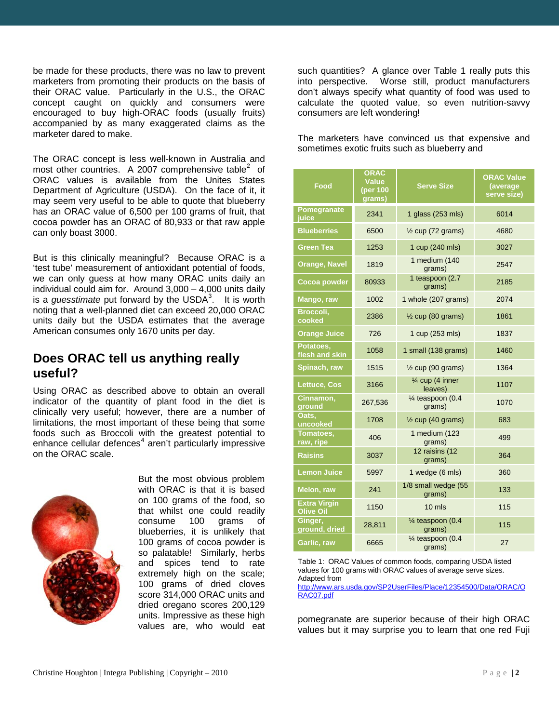be made for these products, there was no law to prevent marketers from promoting their products on the basis of their ORAC value. Particularly in the U.S., the ORAC concept caught on quickly and consumers were encouraged to buy high-ORAC foods (usually fruits) accompanied by as many exaggerated claims as the marketer dared to make.

The ORAC concept is less well-known in Australia and most other countries. A [2](#page-7-1)007 comprehensive table<sup>2</sup> of ORAC values is available from the Unites States Department of Agriculture (USDA). On the face of it, it may seem very useful to be able to quote that blueberry has an ORAC value of 6,500 per 100 grams of fruit, that cocoa powder has an ORAC of 80,933 or that raw apple can only boast 3000.

But is this clinically meaningful? Because ORAC is a 'test tube' measurement of antioxidant potential of foods, we can only guess at how many ORAC units daily an individual could aim for. Around 3,000 – 4,000 units daily is a *guesstimate* put forward by the USDA [3](#page-7-2) . It is worth noting that a well-planned diet can exceed 20,000 ORAC units daily but the USDA estimates that the average American consumes only 1670 units per day.

#### **Does ORAC tell us anything really useful?**

Using ORAC as described above to obtain an overall indicator of the quantity of plant food in the diet is clinically very useful; however, there are a number of limitations, the most important of these being that some foods such as Broccoli with the greatest potential to enhance cellular defences<sup>[4](#page-7-3)</sup> aren't particularly impressive on the ORAC scale.



But the most obvious problem with ORAC is that it is based on 100 grams of the food, so that whilst one could readily consume 100 grams of blueberries, it is unlikely that 100 grams of cocoa powder is so palatable! Similarly, herbs and spices tend to rate extremely high on the scale; 100 grams of dried cloves score 314,000 ORAC units and dried oregano scores 200,129 units. Impressive as these high values are, who would eat

such quantities? A glance over Table 1 really puts this into perspective. Worse still, product manufacturers don't always specify what quantity of food was used to calculate the quoted value, so even nutrition-savvy consumers are left wondering!

The marketers have convinced us that expensive and sometimes exotic fruits such as blueberry and

| Food                                    | <b>ORAC</b><br><b>Value</b><br>(per 100<br>grams) | <b>Serve Size</b>                      | <b>ORAC Value</b><br>(average<br>serve size) |
|-----------------------------------------|---------------------------------------------------|----------------------------------------|----------------------------------------------|
| Pomegranate<br>juice                    | 2341                                              | 1 glass (253 mls)                      | 6014                                         |
| <b>Blueberries</b>                      | 6500                                              | $\frac{1}{2}$ cup (72 grams)           | 4680                                         |
| Green Tea                               | 1253                                              | 1 cup (240 mls)                        | 3027                                         |
| <b>Orange, Navel</b>                    | 1819                                              | 1 medium (140<br>grams)                | 2547                                         |
| <b>Cocoa powder</b>                     | 80933                                             | 1 teaspoon (2.7<br>grams)              | 2185                                         |
| Mango, raw                              | 1002                                              | 1 whole (207 grams)                    | 2074                                         |
| Broccoli,<br>cooked                     | 2386                                              | $\frac{1}{2}$ cup (80 grams)           | 1861                                         |
| <b>Orange Juice</b>                     | 726                                               | 1 cup (253 mls)                        | 1837                                         |
| Potatoes,<br>flesh and skin             | 1058                                              | 1 small (138 grams)                    | 1460                                         |
| Spinach, raw                            | 1515                                              | $\frac{1}{2}$ cup (90 grams)           | 1364                                         |
| <b>Lettuce, Cos</b>                     | 3166                                              | $\frac{1}{4}$ cup (4 inner<br>leaves)  | 1107                                         |
| Cinnamon,<br>ground                     | 267,536                                           | $\frac{1}{4}$ teaspoon (0.4<br>grams)  | 1070                                         |
| Oats,<br>uncooked                       | 1708                                              | $\frac{1}{2}$ cup (40 grams)           | 683                                          |
| Tomatoes,<br>raw, ripe                  | 406                                               | 1 medium (123<br>grams)                | 499                                          |
| <b>Raisins</b>                          | 3037                                              | 12 raisins (12<br>grams)               | 364                                          |
| <b>Lemon Juice</b>                      | 5997                                              | 1 wedge (6 mls)                        | 360                                          |
| Melon, raw                              | 241                                               | 1/8 small wedge (55<br>grams)          | 133                                          |
| <b>Extra Virgin</b><br><b>Olive Oil</b> | 1150                                              | $10 \text{ m/s}$                       | 115                                          |
| Ginger,<br>ground, dried                | 28,811                                            | $\frac{1}{4}$ teaspoon (0.4)<br>grams) | 115                                          |
| Garlic, raw                             | 6665                                              | $\frac{1}{4}$ teaspoon (0.4<br>grams)  | 27                                           |

Table 1: ORAC Values of common foods, comparing USDA listed values for 100 grams with ORAC values of average serve sizes. Adapted from

[http://www.ars.usda.gov/SP2UserFiles/Place/12354500/Data/ORAC/O](http://www.ars.usda.gov/SP2UserFiles/Place/12354500/Data/ORAC/ORAC07.pdf) [RAC07.pdf](http://www.ars.usda.gov/SP2UserFiles/Place/12354500/Data/ORAC/ORAC07.pdf)

pomegranate are superior because of their high ORAC values but it may surprise you to learn that one red Fuji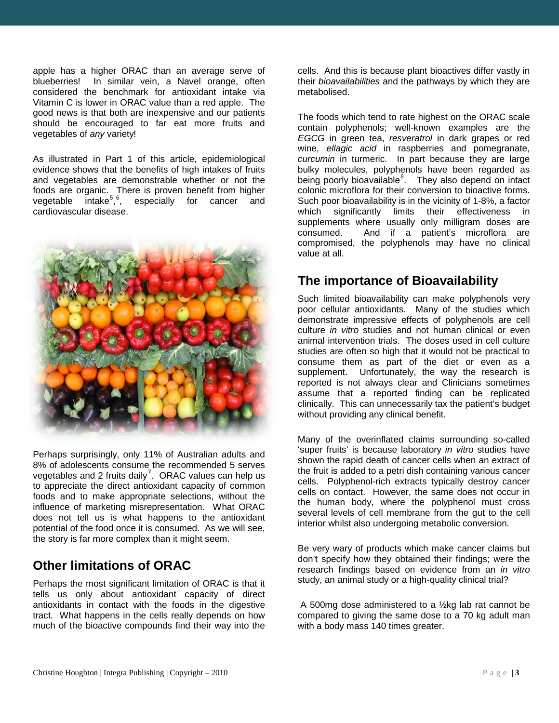apple has a higher ORAC than an average serve of blueberries! In similar vein, a Navel orange, often considered the benchmark for antioxidant intake via Vitamin C is lower in ORAC value than a red apple. The good news is that both are inexpensive and our patients should be encouraged to far eat more fruits and vegetables of *any* variety!

As illustrated in Part 1 of this article, epidemiological evidence shows that the benefits of high intakes of fruits and vegetables are demonstrable whether or not the foods are organic. There is proven benefit from higher vegetable intake<sup>[5](#page-7-4),[6](#page-7-5)</sup>, especially for cancer and cardiovascular disease.



Perhaps surprisingly, only 11% of Australian adults and 8% of adolescents consume the recommended 5 serves vegetables and 2 fruits daily<sup>[7](#page-7-6)</sup>. ORAC values can help us to appreciate the direct antioxidant capacity of common foods and to make appropriate selections, without the influence of marketing misrepresentation. What ORAC does not tell us is what happens to the antioxidant potential of the food once it is consumed. As we will see, the story is far more complex than it might seem.

#### **Other limitations of ORAC**

Perhaps the most significant limitation of ORAC is that it tells us only about antioxidant capacity of direct antioxidants in contact with the foods in the digestive tract. What happens in the cells really depends on how much of the bioactive compounds find their way into the

cells. And this is because plant bioactives differ vastly in their *bioavailabilities* and the pathways by which they are metabolised.

The foods which tend to rate highest on the ORAC scale contain polyphenols; well-known examples are the *EGCG* in green tea, *resveratrol* in dark grapes or red wine, *ellagic acid* in raspberries and pomegranate, *curcumin* in turmeric. In part because they are large bulky molecules, polyphenols have been regarded as being poorly bioavailable<sup>[8](#page-7-7)</sup>. They also depend on intact colonic microflora for their conversion to bioactive forms. Such poor bioavailability is in the vicinity of 1-8%, a factor which significantly limits their effectiveness in supplements where usually only milligram doses are consumed. And if a patient's microflora are compromised, the polyphenols may have no clinical value at all.

#### **The importance of Bioavailability**

Such limited bioavailability can make polyphenols very poor cellular antioxidants. Many of the studies which demonstrate impressive effects of polyphenols are cell culture *in vitro* studies and not human clinical or even animal intervention trials. The doses used in cell culture studies are often so high that it would not be practical to consume them as part of the diet or even as a supplement. Unfortunately, the way the research is reported is not always clear and Clinicians sometimes assume that a reported finding can be replicated clinically. This can unnecessarily tax the patient's budget without providing any clinical benefit.

Many of the overinflated claims surrounding so-called 'super fruits' is because laboratory *in vitro* studies have shown the rapid death of cancer cells when an extract of the fruit is added to a petri dish containing various cancer cells. Polyphenol-rich extracts typically destroy cancer cells on contact. However, the same does not occur in the human body, where the polyphenol must cross several levels of cell membrane from the gut to the cell interior whilst also undergoing metabolic conversion.

Be very wary of products which make cancer claims but don't specify how they obtained their findings; were the research findings based on evidence from an *in vitro* study, an animal study or a high-quality clinical trial?

A 500mg dose administered to a ½kg lab rat cannot be compared to giving the same dose to a 70 kg adult man with a body mass 140 times greater.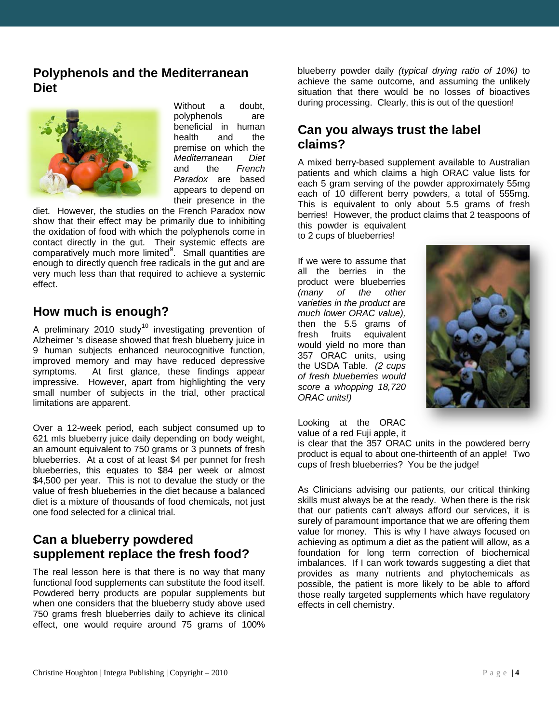#### **Polyphenols and the Mediterranean Diet**



Without a doubt, polyphenols are beneficial in human health and the premise on which the *Mediterranean Diet* and the *French Paradox* are based appears to depend on their presence in the

diet. However, the studies on the French Paradox now show that their effect may be primarily due to inhibiting the oxidation of food with which the polyphenols come in contact directly in the gut. Their systemic effects are comparatively much more limited<sup>[9](#page-7-8)</sup>. Small quantities are enough to directly quench free radicals in the gut and are very much less than that required to achieve a systemic effect.

#### **How much is enough?**

A preliminary 20[10](#page-7-9) study<sup>10</sup> investigating prevention of Alzheimer 's disease showed that fresh blueberry juice in 9 human subjects enhanced neurocognitive function, improved memory and may have reduced depressive symptoms. At first glance, these findings appear impressive. However, apart from highlighting the very small number of subjects in the trial, other practical limitations are apparent.

Over a 12-week period, each subject consumed up to 621 mls blueberry juice daily depending on body weight, an amount equivalent to 750 grams or 3 punnets of fresh blueberries. At a cost of at least \$4 per punnet for fresh blueberries, this equates to \$84 per week or almost \$4,500 per year. This is not to devalue the study or the value of fresh blueberries in the diet because a balanced diet is a mixture of thousands of food chemicals, not just one food selected for a clinical trial.

#### **Can a blueberry powdered supplement replace the fresh food?**

The real lesson here is that there is no way that many functional food supplements can substitute the food itself. Powdered berry products are popular supplements but when one considers that the blueberry study above used 750 grams fresh blueberries daily to achieve its clinical effect, one would require around 75 grams of 100%

blueberry powder daily *(typical drying ratio of 10%)* to achieve the same outcome, and assuming the unlikely situation that there would be no losses of bioactives during processing. Clearly, this is out of the question!

#### **Can you always trust the label claims?**

A mixed berry-based supplement available to Australian patients and which claims a high ORAC value lists for each 5 gram serving of the powder approximately 55mg each of 10 different berry powders, a total of 555mg. This is equivalent to only about 5.5 grams of fresh berries! However, the product claims that 2 teaspoons of this powder is equivalent

to 2 cups of blueberries!

If we were to assume that all the berries in the product were blueberries *(many of the other varieties in the product are much lower ORAC value),* then the 5.5 grams of fresh fruits equivalent would yield no more than 357 ORAC units, using the USDA Table. *(2 cups of fresh blueberries would score a whopping 18,720 ORAC units!)*



Looking at the ORAC value of a red Fuji apple, it

is clear that the 357 ORAC units in the powdered berry product is equal to about one-thirteenth of an apple! Two cups of fresh blueberries? You be the judge!

As Clinicians advising our patients, our critical thinking skills must always be at the ready. When there is the risk that our patients can't always afford our services, it is surely of paramount importance that we are offering them value for money. This is why I have always focused on achieving as optimum a diet as the patient will allow, as a foundation for long term correction of biochemical imbalances. If I can work towards suggesting a diet that provides as many nutrients and phytochemicals as possible, the patient is more likely to be able to afford those really targeted supplements which have regulatory effects in cell chemistry.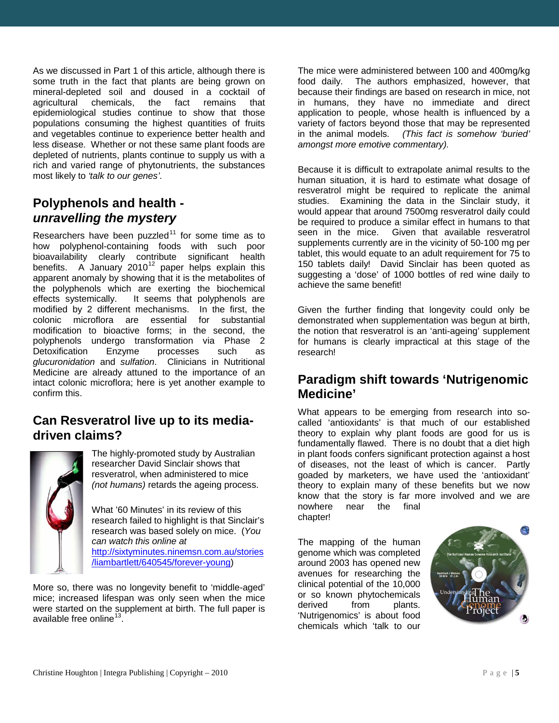As we discussed in Part 1 of this article, although there is some truth in the fact that plants are being grown on mineral-depleted soil and doused in a cocktail of agricultural chemicals. the fact remains that chemicals, the fact remains that epidemiological studies continue to show that those populations consuming the highest quantities of fruits and vegetables continue to experience better health and less disease. Whether or not these same plant foods are depleted of nutrients, plants continue to supply us with a rich and varied range of phytonutrients, the substances most likely to *'talk to our genes'*.

#### **Polyphenols and health**  *unravelling the mystery*

Researchers have been puzzled<sup>[11](#page-7-10)</sup> for some time as to how polyphenol-containing foods with such poor bioavailability clearly contribute significant health benefits. A January 2010<sup>[12](#page-7-11)</sup> paper helps explain this apparent anomaly by showing that it is the metabolites of the polyphenols which are exerting the biochemical effects systemically. It seems that polyphenols are modified by 2 different mechanisms. In the first, the colonic microflora are essential for substantial modification to bioactive forms; in the second, the polyphenols undergo transformation via Phase 2 Detoxification Enzyme processes such as *glucuronidation* and *sulfation*. Clinicians in Nutritional Medicine are already attuned to the importance of an intact colonic microflora; here is yet another example to confirm this.

#### **Can Resveratrol live up to its mediadriven claims?**



The highly-promoted study by Australian researcher David Sinclair shows that resveratrol, when administered to mice *(not humans)* retards the ageing process.

What '60 Minutes' in its review of this research failed to highlight is that Sinclair's research was based solely on mice. (*You can watch this online at* [http://sixtyminutes.ninemsn.com.au/stories](http://sixtyminutes.ninemsn.com.au/stories/liambartlett/640545/forever-young)

[/liambartlett/640545/forever-young\)](http://sixtyminutes.ninemsn.com.au/stories/liambartlett/640545/forever-young)

More so, there was no longevity benefit to 'middle-aged' mice; increased lifespan was only seen when the mice were started on the supplement at birth. The full paper is available free online $^{13}$  $^{13}$  $^{13}$ .

The mice were administered between 100 and 400mg/kg food daily. The authors emphasized, however, that because their findings are based on research in mice, not in humans, they have no immediate and direct application to people, whose health is influenced by a variety of factors beyond those that may be represented<br>in the animal models. (This fact is somehow 'buried' in the animal models. *(This fact is somehow 'buried' amongst more emotive commentary).*

Because it is difficult to extrapolate animal results to the human situation, it is hard to estimate what dosage of resveratrol might be required to replicate the animal studies. Examining the data in the Sinclair study, it would appear that around 7500mg resveratrol daily could be required to produce a similar effect in humans to that<br>seen in the mice. Given that available resveratrol Given that available resveratrol supplements currently are in the vicinity of 50-100 mg per tablet, this would equate to an adult requirement for 75 to 150 tablets daily! David Sinclair has been quoted as suggesting a 'dose' of 1000 bottles of red wine daily to achieve the same benefit!

Given the further finding that longevity could only be demonstrated when supplementation was begun at birth, the notion that resveratrol is an 'anti-ageing' supplement for humans is clearly impractical at this stage of the research!

#### **Paradigm shift towards 'Nutrigenomic Medicine'**

What appears to be emerging from research into socalled 'antioxidants' is that much of our established theory to explain why plant foods are good for us is fundamentally flawed. There is no doubt that a diet high in plant foods confers significant protection against a host of diseases, not the least of which is cancer. Partly goaded by marketers, we have used the 'antioxidant' theory to explain many of these benefits but we now know that the story is far more involved and we are<br>nowhere pear the final nowhere chapter!

The mapping of the human genome which was completed around 2003 has opened new avenues for researching the clinical potential of the 10,000 or so known phytochemicals derived from plants. 'Nutrigenomics' is about food chemicals which 'talk to our

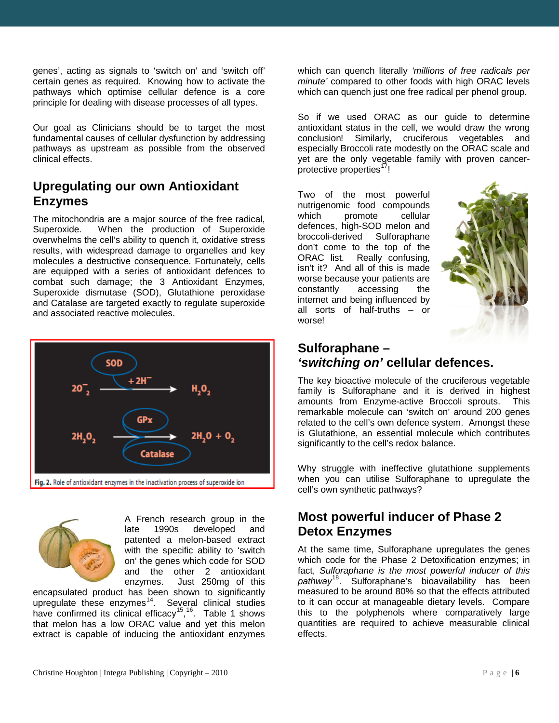genes', acting as signals to 'switch on' and 'switch off' certain genes as required. Knowing how to activate the pathways which optimise cellular defence is a core principle for dealing with disease processes of all types.

Our goal as Clinicians should be to target the most fundamental causes of cellular dysfunction by addressing pathways as upstream as possible from the observed clinical effects.

#### **Upregulating our own Antioxidant Enzymes**

The mitochondria are a major source of the free radical, Superoxide. When the production of Superoxide overwhelms the cell's ability to quench it, oxidative stress results, with widespread damage to organelles and key molecules a destructive consequence. Fortunately, cells are equipped with a series of antioxidant defences to combat such damage; the 3 Antioxidant Enzymes, Superoxide dismutase (SOD), Glutathione peroxidase and Catalase are targeted exactly to regulate superoxide and associated reactive molecules.



A French research group in the late 1990s developed and patented a melon-based extract with the specific ability to 'switch on' the genes which code for SOD and the other 2 antioxidant enzymes. Just 250mg of this

encapsulated product has been shown to significantly upregulate these enzymes $14$ . Several clinical studies have confirmed its clinical efficacy<sup>15</sup>,<sup>[16](#page-7-15)</sup>. Table 1 shows that melon has a low ORAC value and yet this melon extract is capable of inducing the antioxidant enzymes

which can quench literally *'millions of free radicals per minute'* compared to other foods with high ORAC levels which can quench just one free radical per phenol group.

So if we used ORAC as our guide to determine antioxidant status in the cell, we would draw the wrong conclusion! Similarly, cruciferous vegetables and especially Broccoli rate modestly on the ORAC scale and yet are the only vegetable family with proven cancer-protective properties<sup>[17](#page-7-16)</sup>!

Two of the most powerful nutrigenomic food compounds which promote cellular defences, high-SOD melon and<br>broccoli-derived Sulforaphane broccoli-derived don't come to the top of the ORAC list. Really confusing, isn't it? And all of this is made worse because your patients are constantly accessing the internet and being influenced by all sorts of half-truths – or worse!



#### **Sulforaphane –** *'switching on'* **cellular defences.**

The key bioactive molecule of the cruciferous vegetable family is Sulforaphane and it is derived in highest amounts from Enzyme-active Broccoli sprouts. This remarkable molecule can 'switch on' around 200 genes related to the cell's own defence system. Amongst these is Glutathione, an essential molecule which contributes significantly to the cell's redox balance.

Why struggle with ineffective glutathione supplements when you can utilise Sulforaphane to upregulate the cell's own synthetic pathways?

#### **Most powerful inducer of Phase 2 Detox Enzymes**

At the same time, Sulforaphane upregulates the genes which code for the Phase 2 Detoxification enzymes; in fact, *Sulforaphane is the most powerful inducer of this pathway*[18](#page-7-17). Sulforaphane's bioavailability has been measured to be around 80% so that the effects attributed to it can occur at manageable dietary levels. Compare this to the polyphenols where comparatively large quantities are required to achieve measurable clinical effects.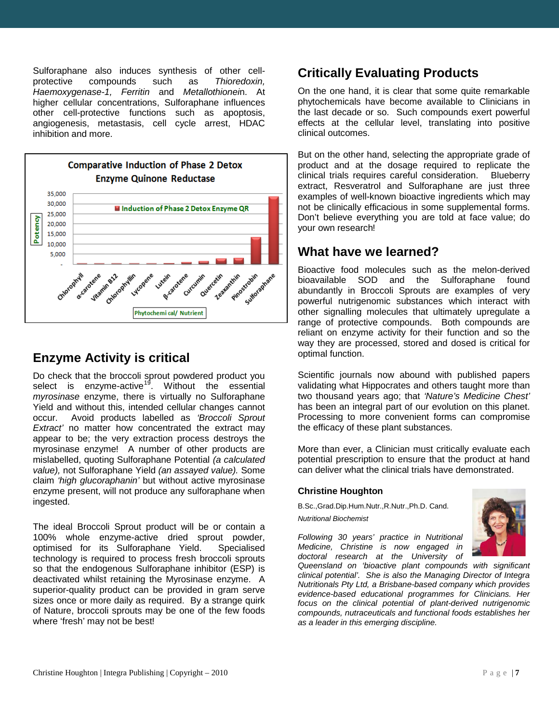Sulforaphane also induces synthesis of other cellprotective compounds such as *Thioredoxin, Haemoxygenase-1, Ferritin* and *Metallothionei*n. At higher cellular concentrations, Sulforaphane influences other cell-protective functions such as apoptosis, angiogenesis, metastasis, cell cycle arrest, HDAC inhibition and more.



#### **Enzyme Activity is critical**

Do check that the broccoli sprout powdered product you select is enzyme-active<sup>[19](#page-7-18)</sup>. Without the essential *myrosinase* enzyme, there is virtually no Sulforaphane Yield and without this, intended cellular changes cannot occur. Avoid products labelled as *'Broccoli Sprout Extract'* no matter how concentrated the extract may appear to be; the very extraction process destroys the myrosinase enzyme! A number of other products are mislabelled, quoting Sulforaphane Potential *(a calculated value),* not Sulforaphane Yield *(an assayed value).* Some claim *'high glucoraphanin'* but without active myrosinase enzyme present, will not produce any sulforaphane when ingested.

The ideal Broccoli Sprout product will be or contain a 100% whole enzyme-active dried sprout powder, optimised for its Sulforaphane Yield. Specialised technology is required to process fresh broccoli sprouts so that the endogenous Sulforaphane inhibitor (ESP) is deactivated whilst retaining the Myrosinase enzyme. A superior-quality product can be provided in gram serve sizes once or more daily as required. By a strange quirk of Nature, broccoli sprouts may be one of the few foods where 'fresh' may not be best!

#### **Critically Evaluating Products**

On the one hand, it is clear that some quite remarkable phytochemicals have become available to Clinicians in the last decade or so. Such compounds exert powerful effects at the cellular level, translating into positive clinical outcomes.

But on the other hand, selecting the appropriate grade of product and at the dosage required to replicate the clinical trials requires careful consideration. Blueberry extract, Resveratrol and Sulforaphane are just three examples of well-known bioactive ingredients which may not be clinically efficacious in some supplemental forms. Don't believe everything you are told at face value; do your own research!

#### **What have we learned?**

Bioactive food molecules such as the melon-derived bioavailable SOD and the Sulforaphane found abundantly in Broccoli Sprouts are examples of very powerful nutrigenomic substances which interact with other signalling molecules that ultimately upregulate a range of protective compounds. Both compounds are reliant on enzyme activity for their function and so the way they are processed, stored and dosed is critical for optimal function.

Scientific journals now abound with published papers validating what Hippocrates and others taught more than two thousand years ago; that *'Nature's Medicine Chest'* has been an integral part of our evolution on this planet. Processing to more convenient forms can compromise the efficacy of these plant substances.

More than ever, a Clinician must critically evaluate each potential prescription to ensure that the product at hand can deliver what the clinical trials have demonstrated.

#### **Christine Houghton**

B.Sc.,Grad.Dip.Hum.Nutr.,R.Nutr.,Ph.D. Cand. *Nutritional Biochemist*



*Following 30 years' practice in Nutritional Medicine, Christine is now engaged in doctoral research at the University of* 

*Queensland on 'bioactive plant compounds with significant clinical potential'. She is also the Managing Director of Integra Nutritionals Pty Ltd, a Brisbane-based company which provides evidence-based educational programmes for Clinicians. Her focus on the clinical potential of plant-derived nutrigenomic compounds, nutraceuticals and functional foods establishes her as a leader in this emerging discipline.*